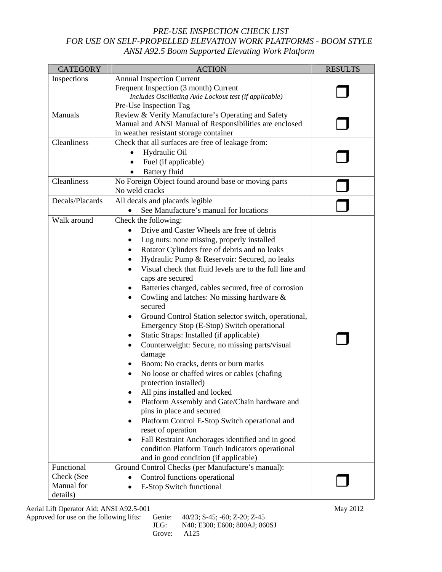## *PRE-USE INSPECTION CHECK LIST FOR USE ON SELF-PROPELLED ELEVATION WORK PLATFORMS - BOOM STYLE ANSI A92.5 Boom Supported Elevating Work Platform*

| <b>CATEGORY</b>                                    | <b>ACTION</b>                                                                                                                                                                                                                                                                                                                                                                                                                                                                                                                                                                                                                                                                                                                                                                                                                                                                                                                                                                                                                                                                                    | <b>RESULTS</b> |
|----------------------------------------------------|--------------------------------------------------------------------------------------------------------------------------------------------------------------------------------------------------------------------------------------------------------------------------------------------------------------------------------------------------------------------------------------------------------------------------------------------------------------------------------------------------------------------------------------------------------------------------------------------------------------------------------------------------------------------------------------------------------------------------------------------------------------------------------------------------------------------------------------------------------------------------------------------------------------------------------------------------------------------------------------------------------------------------------------------------------------------------------------------------|----------------|
| Inspections                                        | <b>Annual Inspection Current</b><br>Frequent Inspection (3 month) Current<br>Includes Oscillating Axle Lockout test (if applicable)<br>Pre-Use Inspection Tag                                                                                                                                                                                                                                                                                                                                                                                                                                                                                                                                                                                                                                                                                                                                                                                                                                                                                                                                    |                |
| Manuals                                            | Review & Verify Manufacture's Operating and Safety<br>Manual and ANSI Manual of Responsibilities are enclosed<br>in weather resistant storage container                                                                                                                                                                                                                                                                                                                                                                                                                                                                                                                                                                                                                                                                                                                                                                                                                                                                                                                                          |                |
| Cleanliness                                        | Check that all surfaces are free of leakage from:<br>Hydraulic Oil<br>Fuel (if applicable)<br><b>Battery fluid</b>                                                                                                                                                                                                                                                                                                                                                                                                                                                                                                                                                                                                                                                                                                                                                                                                                                                                                                                                                                               |                |
| Cleanliness                                        | No Foreign Object found around base or moving parts<br>No weld cracks                                                                                                                                                                                                                                                                                                                                                                                                                                                                                                                                                                                                                                                                                                                                                                                                                                                                                                                                                                                                                            |                |
| Decals/Placards                                    | All decals and placards legible<br>See Manufacture's manual for locations                                                                                                                                                                                                                                                                                                                                                                                                                                                                                                                                                                                                                                                                                                                                                                                                                                                                                                                                                                                                                        |                |
| Walk around                                        | Check the following:<br>Drive and Caster Wheels are free of debris<br>Lug nuts: none missing, properly installed<br>Rotator Cylinders free of debris and no leaks<br>Hydraulic Pump & Reservoir: Secured, no leaks<br>Visual check that fluid levels are to the full line and<br>caps are secured<br>Batteries charged, cables secured, free of corrosion<br>Cowling and latches: No missing hardware $\&$<br>٠<br>secured<br>Ground Control Station selector switch, operational,<br>Emergency Stop (E-Stop) Switch operational<br>Static Straps: Installed (if applicable)<br>Counterweight: Secure, no missing parts/visual<br>damage<br>Boom: No cracks, dents or burn marks<br>No loose or chaffed wires or cables (chafing<br>protection installed)<br>All pins installed and locked<br>Platform Assembly and Gate/Chain hardware and<br>pins in place and secured<br>Platform Control E-Stop Switch operational and<br>reset of operation<br>Fall Restraint Anchorages identified and in good<br>condition Platform Touch Indicators operational<br>and in good condition (if applicable) |                |
| Functional<br>Check (See<br>Manual for<br>details) | Ground Control Checks (per Manufacture's manual):<br>Control functions operational<br>E-Stop Switch functional                                                                                                                                                                                                                                                                                                                                                                                                                                                                                                                                                                                                                                                                                                                                                                                                                                                                                                                                                                                   |                |

Aerial Lift Operator Aid: ANSI A92.5-001 May 2012

Approved for use on the following lifts: Genie: 40/23; S-45; -60; Z-20; Z-45<br>JLG: N40; E300; E600; 800AJ; 86 N40; E300; E600; 800AJ; 860SJ Grove: A125